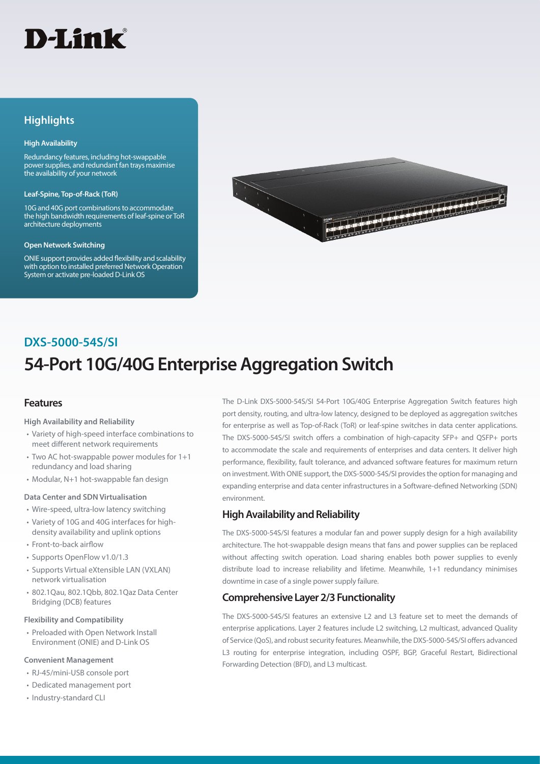# **D-Link**

# **Highlights**

### **High Availability**

Redundancy features, including hot-swappable power supplies, and redundant fan trays maximise the availability of your network

#### **Leaf-Spine, Top-of-Rack (ToR)**

10G and 40G port combinations to accommodate the high bandwidth requirements of leaf-spine or ToR architecture deployments

#### **Open Network Switching**

ONIE support provides added flexibility and scalability with option to installed preferred Network Operation System or activate pre-loaded D-Link OS



# **54-Port 10G/40G Enterprise Aggregation Switch DXS-5000-54S/SI**

## **Features**

### **High Availability and Reliability**

- Variety of high-speed interface combinations to meet different network requirements
- Two AC hot-swappable power modules for 1+1 redundancy and load sharing
- Modular, N+1 hot-swappable fan design

### **Data Center and SDN Virtualisation**

- Wire-speed, ultra-low latency switching
- Variety of 10G and 40G interfaces for highdensity availability and uplink options
- Front-to-back airflow
- Supports OpenFlow v1.0/1.3
- Supports Virtual eXtensible LAN (VXLAN) network virtualisation
- 802.1Qau, 802.1Qbb, 802.1Qaz Data Center Bridging (DCB) features

### **Flexibility and Compatibility**

• Preloaded with Open Network Install Environment (ONIE) and D-Link OS

### **Convenient Management**

- RJ-45/mini-USB console port
- Dedicated management port
- Industry-standard CLI

The D-Link DXS-5000-54S/SI 54-Port 10G/40G Enterprise Aggregation Switch features high port density, routing, and ultra-low latency, designed to be deployed as aggregation switches for enterprise as well as Top-of-Rack (ToR) or leaf-spine switches in data center applications. The DXS-5000-54S/SI switch offers a combination of high-capacity SFP+ and QSFP+ ports to accommodate the scale and requirements of enterprises and data centers. It deliver high performance, flexibility, fault tolerance, and advanced software features for maximum return on investment. With ONIE support, the DXS-5000-54S/SI provides the option for managing and expanding enterprise and data center infrastructures in a Software-defined Networking (SDN) environment.

## **High Availability and Reliability**

The DXS-5000-54S/SI features a modular fan and power supply design for a high availability architecture. The hot-swappable design means that fans and power supplies can be replaced without affecting switch operation. Load sharing enables both power supplies to evenly distribute load to increase reliability and lifetime. Meanwhile, 1+1 redundancy minimises downtime in case of a single power supply failure.

## **Comprehensive Layer 2/3 Functionality**

The DXS-5000-54S/SI features an extensive L2 and L3 feature set to meet the demands of enterprise applications. Layer 2 features include L2 switching, L2 multicast, advanced Quality of Service (QoS), and robust security features. Meanwhile, the DXS-5000-54S/SI offers advanced L3 routing for enterprise integration, including OSPF, BGP, Graceful Restart, Bidirectional Forwarding Detection (BFD), and L3 multicast.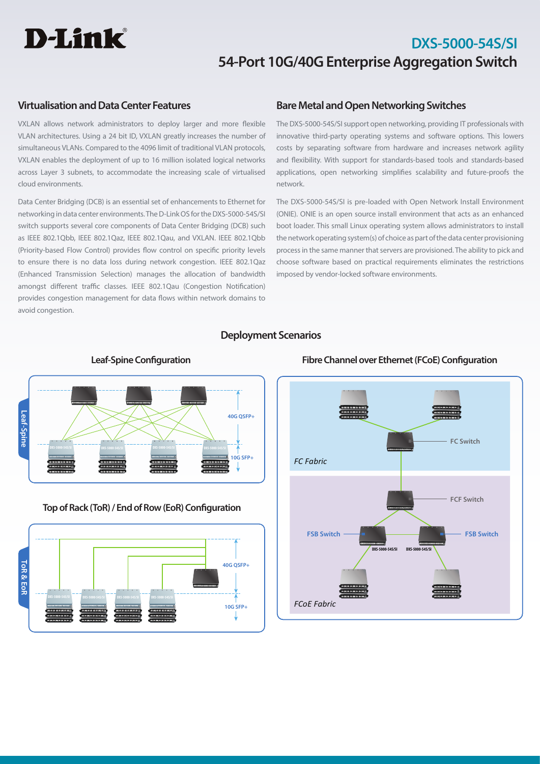# D-Link®

# **DXS-5000-54S/SI 54-Port 10G/40G Enterprise Aggregation Switch**

## **Virtualisation and Data Center Features**

VXLAN allows network administrators to deploy larger and more flexible VLAN architectures. Using a 24 bit ID, VXLAN greatly increases the number of simultaneous VLANs. Compared to the 4096 limit of traditional VLAN protocols, VXLAN enables the deployment of up to 16 million isolated logical networks across Layer 3 subnets, to accommodate the increasing scale of virtualised cloud environments.

Data Center Bridging (DCB) is an essential set of enhancements to Ethernet for networking in data center environments. The D-Link OS for the DXS-5000-54S/SI switch supports several core components of Data Center Bridging (DCB) such as IEEE 802.1Qbb, IEEE 802.1Qaz, IEEE 802.1Qau, and VXLAN. IEEE 802.1Qbb (Priority-based Flow Control) provides flow control on specific priority levels to ensure there is no data loss during network congestion. IEEE 802.1Qaz (Enhanced Transmission Selection) manages the allocation of bandwidth amongst different traffic classes. IEEE 802.1Qau (Congestion Notification) provides congestion management for data flows within network domains to avoid congestion.

## **Bare Metal and Open Networking Switches**

The DXS-5000-54S/SI support open networking, providing IT professionals with innovative third-party operating systems and software options. This lowers costs by separating software from hardware and increases network agility and flexibility. With support for standards-based tools and standards-based applications, open networking simplifies scalability and future-proofs the network.

The DXS-5000-54S/SI is pre-loaded with Open Network Install Environment (ONIE). ONIE is an open source install environment that acts as an enhanced boot loader. This small Linux operating system allows administrators to install the network operating system(s) of choice as part of the data center provisioning process in the same manner that servers are provisioned. The ability to pick and choose software based on practical requirements eliminates the restrictions imposed by vendor-locked software environments.

## **Deployment Scenarios**



**Top of Rack (ToR) / End of Row (EoR) Configuration**





### **Leaf-Spine Configuration Fibre Channel over Ethernet (FCoE) Configuration**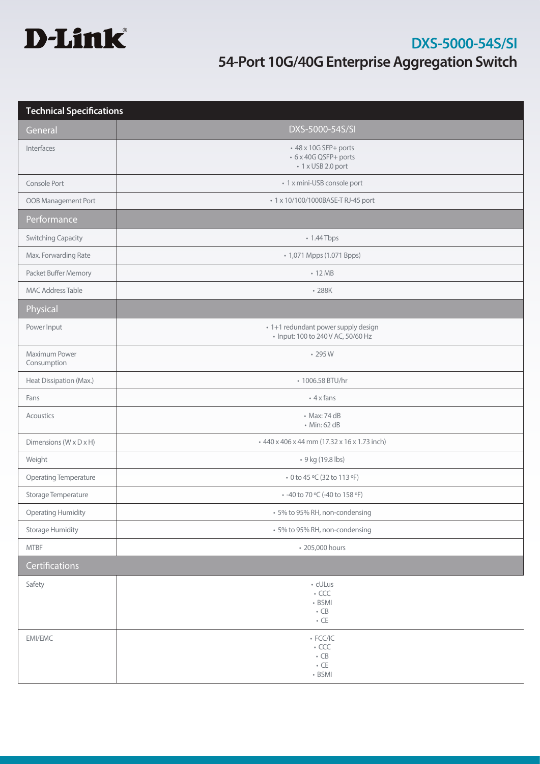

| <b>Technical Specifications</b> |                                                                                  |  |
|---------------------------------|----------------------------------------------------------------------------------|--|
| General                         | DXS-5000-54S/SI                                                                  |  |
| Interfaces                      | +48 x 10G SFP+ ports<br>• 6 x 40G QSFP+ ports<br>• 1 x USB 2.0 port              |  |
| Console Port                    | • 1 x mini-USB console port                                                      |  |
| OOB Management Port             | • 1 x 10/100/1000BASE-T RJ-45 port                                               |  |
| Performance                     |                                                                                  |  |
| <b>Switching Capacity</b>       | • 1.44 Tbps                                                                      |  |
| Max. Forwarding Rate            | • 1,071 Mpps (1.071 Bpps)                                                        |  |
| Packet Buffer Memory            | $\cdot$ 12 MB                                                                    |  |
| <b>MAC Address Table</b>        | $-288K$                                                                          |  |
| Physical                        |                                                                                  |  |
| Power Input                     | · 1+1 redundant power supply design<br>• Input: 100 to 240 V AC, 50/60 Hz        |  |
| Maximum Power<br>Consumption    | $\cdot$ 295 W                                                                    |  |
| Heat Dissipation (Max.)         | • 1006.58 BTU/hr                                                                 |  |
| Fans                            | $\cdot$ 4 x fans                                                                 |  |
| Acoustics                       | • Max: 74 dB<br>• Min: 62 dB                                                     |  |
|                                 |                                                                                  |  |
| Dimensions (W x D x H)          | +440 x 406 x 44 mm (17.32 x 16 x 1.73 inch)                                      |  |
| Weight                          | • 9 kg (19.8 lbs)                                                                |  |
| Operating Temperature           | • 0 to 45 °C (32 to 113 °F)                                                      |  |
| Storage Temperature             | • -40 to 70 °C (-40 to 158 °F)                                                   |  |
| <b>Operating Humidity</b>       | • 5% to 95% RH, non-condensing                                                   |  |
| <b>Storage Humidity</b>         | • 5% to 95% RH, non-condensing                                                   |  |
| <b>MTBF</b>                     | • 205,000 hours                                                                  |  |
| Certifications                  |                                                                                  |  |
| Safety                          | • cULus<br>$\overline{\phantom{a}}$ CCC<br>$-BSMI$<br>$\bullet$ CB<br>$\cdot$ CE |  |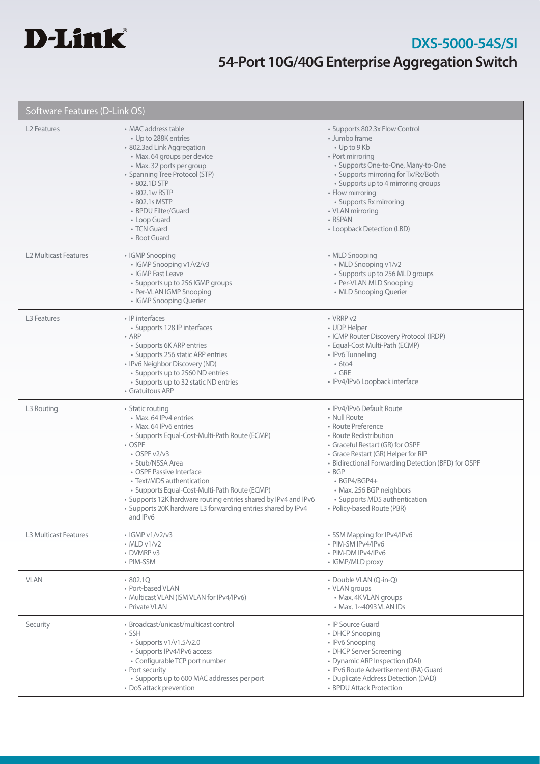

| Software Features (D-Link OS) |                                                                                                                                                                                                                                                                                                                                                                                                                                  |                                                                                                                                                                                                                                                                                                                                                        |  |
|-------------------------------|----------------------------------------------------------------------------------------------------------------------------------------------------------------------------------------------------------------------------------------------------------------------------------------------------------------------------------------------------------------------------------------------------------------------------------|--------------------------------------------------------------------------------------------------------------------------------------------------------------------------------------------------------------------------------------------------------------------------------------------------------------------------------------------------------|--|
| L <sub>2</sub> Features       | • MAC address table<br>• Up to 288K entries<br>· 802.3ad Link Aggregation<br>· Max. 64 groups per device<br>• Max. 32 ports per group<br>• Spanning Tree Protocol (STP)<br>• 802.1D STP<br>• 802.1w RSTP<br>• 802.1s MSTP<br>• BPDU Filter/Guard<br>• Loop Guard<br>• TCN Guard<br>• Root Guard                                                                                                                                  | • Supports 802.3x Flow Control<br>• Jumbo frame<br>• Up to 9 Kb<br>• Port mirroring<br>· Supports One-to-One, Many-to-One<br>• Supports mirroring for Tx/Rx/Both<br>• Supports up to 4 mirroring groups<br>• Flow mirroring<br>• Supports Rx mirroring<br>• VLAN mirroring<br>• RSPAN<br>• Loopback Detection (LBD)                                    |  |
| <b>L2 Multicast Features</b>  | • IGMP Snooping<br>• IGMP Snooping v1/v2/v3<br>• IGMP Fast Leave<br>• Supports up to 256 IGMP groups<br>• Per-VLAN IGMP Snooping<br>• IGMP Snooping Querier                                                                                                                                                                                                                                                                      | • MLD Snooping<br>• MLD Snooping v1/v2<br>• Supports up to 256 MLD groups<br>• Per-VLAN MLD Snooping<br>• MLD Snooping Querier                                                                                                                                                                                                                         |  |
| L3 Features                   | • IP interfaces<br>• Supports 128 IP interfaces<br>$\cdot$ ARP<br>• Supports 6K ARP entries<br>• Supports 256 static ARP entries<br>• IPv6 Neighbor Discovery (ND)<br>• Supports up to 2560 ND entries<br>• Supports up to 32 static ND entries<br>• Gratuitous ARP                                                                                                                                                              | • VRRP v2<br>• UDP Helper<br>• ICMP Router Discovery Protocol (IRDP)<br>• Equal-Cost Multi-Path (ECMP)<br>· IPv6 Tunneling<br>$\cdot$ 6to4<br>$\cdot$ GRE<br>· IPv4/IPv6 Loopback interface                                                                                                                                                            |  |
| L3 Routing                    | • Static routing<br>• Max. 64 IPv4 entries<br>• Max. 64 IPv6 entries<br>• Supports Equal-Cost-Multi-Path Route (ECMP)<br>• OSPF<br>$\cdot$ OSPF v2/v3<br>· Stub/NSSA Area<br>• OSPF Passive Interface<br>• Text/MD5 authentication<br>· Supports Equal-Cost-Multi-Path Route (ECMP)<br>• Supports 12K hardware routing entries shared by IPv4 and IPv6<br>Supports 20K hardware L3 forwarding entries shared by IPv4<br>and IPv6 | • IPv4/IPv6 Default Route<br>• Null Route<br>• Route Preference<br>• Route Redistribution<br>• Graceful Restart (GR) for OSPF<br>• Grace Restart (GR) Helper for RIP<br>• Bidirectional Forwarding Detection (BFD) for OSPF<br>$-BGP$<br>$\cdot$ BGP4/BGP4+<br>• Max. 256 BGP neighbors<br>• Supports MD5 authentication<br>• Policy-based Route (PBR) |  |
| <b>L3 Multicast Features</b>  | $\cdot$ IGMP v1/v2/v3<br>$\cdot$ MLD v1/v2<br>• DVMRP v3<br>• PIM-SSM                                                                                                                                                                                                                                                                                                                                                            | • SSM Mapping for IPv4/IPv6<br>· PIM-SM IPv4/IPv6<br>• PIM-DM IPv4/IPv6<br>• IGMP/MLD proxy                                                                                                                                                                                                                                                            |  |
| <b>VLAN</b>                   | 802.1Q<br>• Port-based VLAN<br>• Multicast VLAN (ISM VLAN for IPv4/IPv6)<br>• Private VLAN                                                                                                                                                                                                                                                                                                                                       | • Double VLAN (Q-in-Q)<br>• VLAN groups<br>• Max. 4K VLAN groups<br>• Max. 1~4093 VLAN IDs                                                                                                                                                                                                                                                             |  |
| Security                      | • Broadcast/unicast/multicast control<br>$\cdot$ SSH<br>• Supports v1/v1.5/v2.0<br>• Supports IPv4/IPv6 access<br>• Configurable TCP port number<br>• Port security<br>• Supports up to 600 MAC addresses per port<br>• DoS attack prevention                                                                                                                                                                                    | • IP Source Guard<br>• DHCP Snooping<br>• IPv6 Snooping<br>• DHCP Server Screening<br>• Dynamic ARP Inspection (DAI)<br>· IPv6 Route Advertisement (RA) Guard<br>• Duplicate Address Detection (DAD)<br>• BPDU Attack Protection                                                                                                                       |  |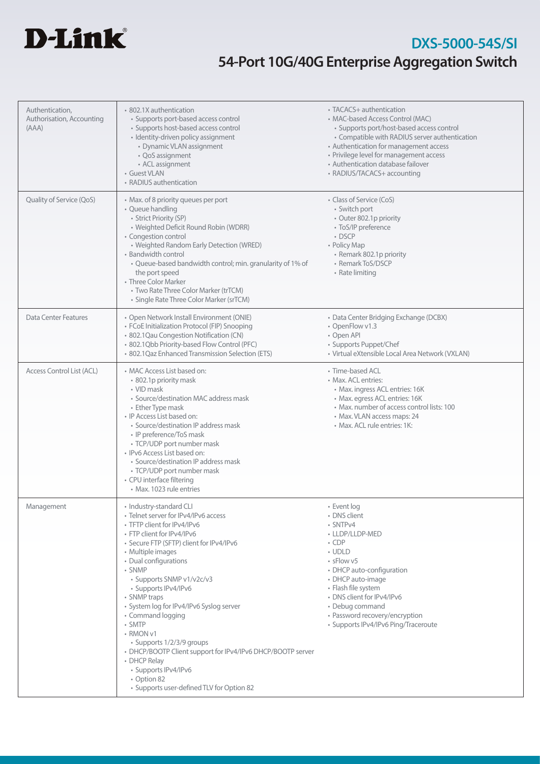

| Authentication,<br>Authorisation, Accounting<br>(AAA) | • 802.1X authentication<br>· Supports port-based access control<br>• Supports host-based access control<br>· Identity-driven policy assignment<br>• Dynamic VLAN assignment<br>• QoS assignment<br>• ACL assignment<br>• Guest VLAN<br>• RADIUS authentication                                                                                                                                                                                                                                                                                                                                | • TACACS+ authentication<br>• MAC-based Access Control (MAC)<br>• Supports port/host-based access control<br>• Compatible with RADIUS server authentication<br>• Authentication for management access<br>• Privilege level for management access<br>• Authentication database failover<br>• RADIUS/TACACS+ accounting |
|-------------------------------------------------------|-----------------------------------------------------------------------------------------------------------------------------------------------------------------------------------------------------------------------------------------------------------------------------------------------------------------------------------------------------------------------------------------------------------------------------------------------------------------------------------------------------------------------------------------------------------------------------------------------|-----------------------------------------------------------------------------------------------------------------------------------------------------------------------------------------------------------------------------------------------------------------------------------------------------------------------|
| Quality of Service (QoS)                              | • Max. of 8 priority queues per port<br>• Queue handling<br>· Strict Priority (SP)<br>• Weighted Deficit Round Robin (WDRR)<br>• Congestion control<br>• Weighted Random Early Detection (WRED)<br>• Bandwidth control<br>• Queue-based bandwidth control; min. granularity of 1% of<br>the port speed<br>• Three Color Marker<br>• Two Rate Three Color Marker (trTCM)<br>· Single Rate Three Color Marker (srTCM)                                                                                                                                                                           | • Class of Service (CoS)<br>• Switch port<br>• Outer 802.1p priority<br>• ToS/IP preference<br>• DSCP<br>• Policy Map<br>• Remark 802.1p priority<br>• Remark ToS/DSCP<br>• Rate limiting                                                                                                                             |
| Data Center Features                                  | · Open Network Install Environment (ONIE)<br>• FCoE Initialization Protocol (FIP) Snooping<br>· 802.1 Qau Congestion Notification (CN)<br>· 802.1Qbb Priority-based Flow Control (PFC)<br>· 802.1Qaz Enhanced Transmission Selection (ETS)                                                                                                                                                                                                                                                                                                                                                    | • Data Center Bridging Exchange (DCBX)<br>• OpenFlow v1.3<br>• Open API<br>• Supports Puppet/Chef<br>· Virtual eXtensible Local Area Network (VXLAN)                                                                                                                                                                  |
| Access Control List (ACL)                             | • MAC Access List based on:<br>• 802.1p priority mask<br>• VID mask<br>• Source/destination MAC address mask<br>• Ether Type mask<br>• IP Access List based on:<br>• Source/destination IP address mask<br>• IP preference/ToS mask<br>• TCP/UDP port number mask<br>· IPv6 Access List based on:<br>• Source/destination IP address mask<br>• TCP/UDP port number mask<br>• CPU interface filtering<br>· Max. 1023 rule entries                                                                                                                                                              | • Time-based ACL<br>• Max. ACL entries:<br>• Max. ingress ACL entries: 16K<br>• Max. egress ACL entries: 16K<br>• Max. number of access control lists: 100<br>• Max. VLAN access maps: 24<br>• Max. ACL rule entries: 1K:                                                                                             |
| Management                                            | · Industry-standard CLI<br>• Telnet server for IPv4/IPv6 access<br>• TFTP client for IPv4/IPv6<br>• FTP client for IPv4/IPv6<br>· Secure FTP (SFTP) client for IPv4/IPv6<br>• Multiple images<br>• Dual configurations<br>• SNMP<br>• Supports SNMP v1/v2c/v3<br>· Supports IPv4/IPv6<br>• SNMP traps<br>• System log for IPv4/IPv6 Syslog server<br>• Command logging<br>• SMTP<br>• RMON v1<br>• Supports 1/2/3/9 groups<br>• DHCP/BOOTP Client support for IPv4/IPv6 DHCP/BOOTP server<br>• DHCP Relay<br>· Supports IPv4/IPv6<br>• Option 82<br>• Supports user-defined TLV for Option 82 | · Event log<br>• DNS client<br>• SNTPv4<br>• LLDP/LLDP-MED<br>$\cdot$ CDP<br>• UDLD<br>• sFlow v5<br>• DHCP auto-configuration<br>• DHCP auto-image<br>• Flash file system<br>• DNS client for IPv4/IPv6<br>• Debug command<br>• Password recovery/encryption<br>• Supports IPv4/IPv6 Ping/Traceroute                 |